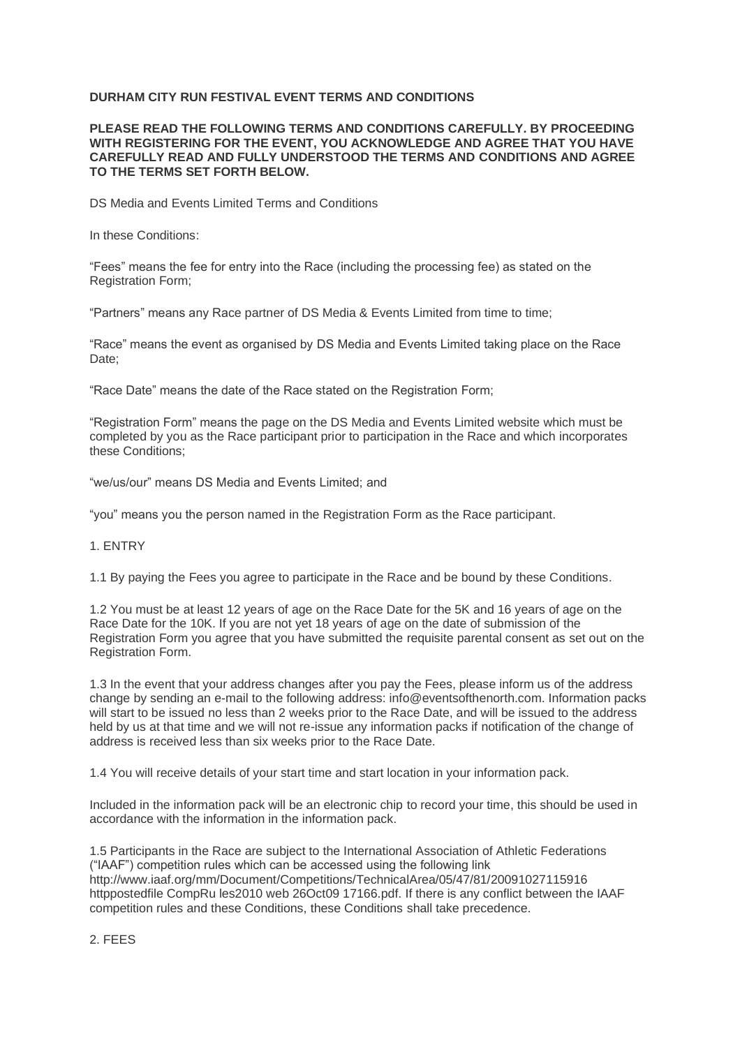## **DURHAM CITY RUN FESTIVAL EVENT TERMS AND CONDITIONS**

#### **PLEASE READ THE FOLLOWING TERMS AND CONDITIONS CAREFULLY. BY PROCEEDING WITH REGISTERING FOR THE EVENT, YOU ACKNOWLEDGE AND AGREE THAT YOU HAVE CAREFULLY READ AND FULLY UNDERSTOOD THE TERMS AND CONDITIONS AND AGREE TO THE TERMS SET FORTH BELOW.**

DS Media and Events Limited Terms and Conditions

In these Conditions:

"Fees" means the fee for entry into the Race (including the processing fee) as stated on the Registration Form;

"Partners" means any Race partner of DS Media & Events Limited from time to time;

"Race" means the event as organised by DS Media and Events Limited taking place on the Race Date;

"Race Date" means the date of the Race stated on the Registration Form;

"Registration Form" means the page on the DS Media and Events Limited website which must be completed by you as the Race participant prior to participation in the Race and which incorporates these Conditions;

"we/us/our" means DS Media and Events Limited; and

"you" means you the person named in the Registration Form as the Race participant.

#### 1. ENTRY

1.1 By paying the Fees you agree to participate in the Race and be bound by these Conditions.

1.2 You must be at least 12 years of age on the Race Date for the 5K and 16 years of age on the Race Date for the 10K. If you are not yet 18 years of age on the date of submission of the Registration Form you agree that you have submitted the requisite parental consent as set out on the Registration Form.

1.3 In the event that your address changes after you pay the Fees, please inform us of the address change by sending an e-mail to the following address: info@eventsofthenorth.com. Information packs will start to be issued no less than 2 weeks prior to the Race Date, and will be issued to the address held by us at that time and we will not re-issue any information packs if notification of the change of address is received less than six weeks prior to the Race Date.

1.4 You will receive details of your start time and start location in your information pack.

Included in the information pack will be an electronic chip to record your time, this should be used in accordance with the information in the information pack.

1.5 Participants in the Race are subject to the International Association of Athletic Federations ("IAAF") competition rules which can be accessed using the following link http://www.iaaf.org/mm/Document/Competitions/TechnicalArea/05/47/81/20091027115916 httppostedfile CompRu les2010 web 26Oct09 17166.pdf. If there is any conflict between the IAAF competition rules and these Conditions, these Conditions shall take precedence.

## 2. FEES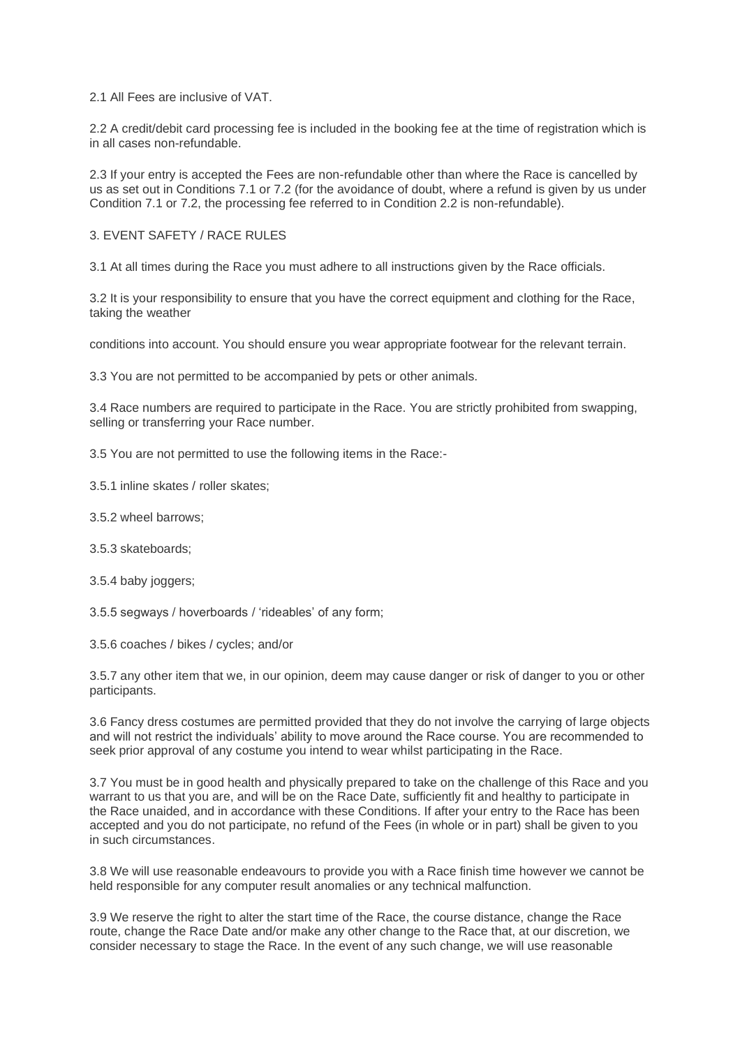2.1 All Fees are inclusive of VAT.

2.2 A credit/debit card processing fee is included in the booking fee at the time of registration which is in all cases non-refundable.

2.3 If your entry is accepted the Fees are non-refundable other than where the Race is cancelled by us as set out in Conditions 7.1 or 7.2 (for the avoidance of doubt, where a refund is given by us under Condition 7.1 or 7.2, the processing fee referred to in Condition 2.2 is non-refundable).

#### 3. EVENT SAFETY / RACE RULES

3.1 At all times during the Race you must adhere to all instructions given by the Race officials.

3.2 It is your responsibility to ensure that you have the correct equipment and clothing for the Race, taking the weather

conditions into account. You should ensure you wear appropriate footwear for the relevant terrain.

3.3 You are not permitted to be accompanied by pets or other animals.

3.4 Race numbers are required to participate in the Race. You are strictly prohibited from swapping, selling or transferring your Race number.

3.5 You are not permitted to use the following items in the Race:-

3.5.1 inline skates / roller skates;

3.5.2 wheel barrows;

3.5.3 skateboards;

3.5.4 baby joggers;

3.5.5 segways / hoverboards / 'rideables' of any form;

3.5.6 coaches / bikes / cycles; and/or

3.5.7 any other item that we, in our opinion, deem may cause danger or risk of danger to you or other participants.

3.6 Fancy dress costumes are permitted provided that they do not involve the carrying of large objects and will not restrict the individuals' ability to move around the Race course. You are recommended to seek prior approval of any costume you intend to wear whilst participating in the Race.

3.7 You must be in good health and physically prepared to take on the challenge of this Race and you warrant to us that you are, and will be on the Race Date, sufficiently fit and healthy to participate in the Race unaided, and in accordance with these Conditions. If after your entry to the Race has been accepted and you do not participate, no refund of the Fees (in whole or in part) shall be given to you in such circumstances.

3.8 We will use reasonable endeavours to provide you with a Race finish time however we cannot be held responsible for any computer result anomalies or any technical malfunction.

3.9 We reserve the right to alter the start time of the Race, the course distance, change the Race route, change the Race Date and/or make any other change to the Race that, at our discretion, we consider necessary to stage the Race. In the event of any such change, we will use reasonable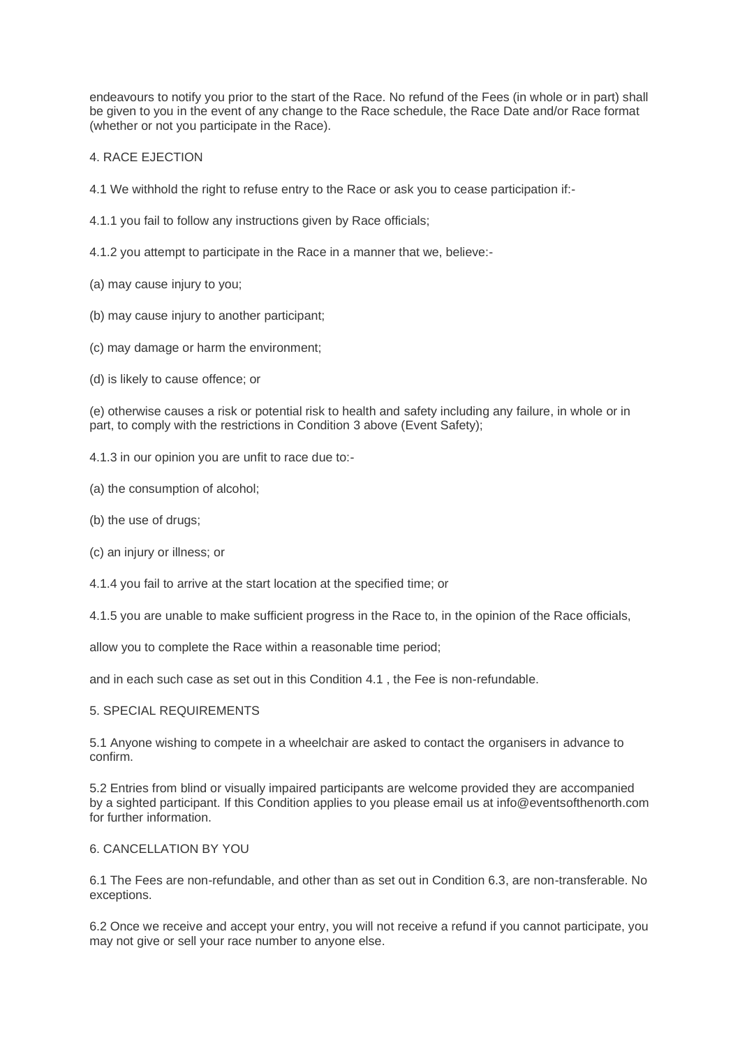endeavours to notify you prior to the start of the Race. No refund of the Fees (in whole or in part) shall be given to you in the event of any change to the Race schedule, the Race Date and/or Race format (whether or not you participate in the Race).

## 4. RACE EJECTION

- 4.1 We withhold the right to refuse entry to the Race or ask you to cease participation if:-
- 4.1.1 you fail to follow any instructions given by Race officials;
- 4.1.2 you attempt to participate in the Race in a manner that we, believe:-
- (a) may cause injury to you;
- (b) may cause injury to another participant;
- (c) may damage or harm the environment;
- (d) is likely to cause offence; or

(e) otherwise causes a risk or potential risk to health and safety including any failure, in whole or in part, to comply with the restrictions in Condition 3 above (Event Safety);

- 4.1.3 in our opinion you are unfit to race due to:-
- (a) the consumption of alcohol;
- (b) the use of drugs;
- (c) an injury or illness; or
- 4.1.4 you fail to arrive at the start location at the specified time; or
- 4.1.5 you are unable to make sufficient progress in the Race to, in the opinion of the Race officials,

allow you to complete the Race within a reasonable time period;

and in each such case as set out in this Condition 4.1 , the Fee is non-refundable.

#### 5. SPECIAL REQUIREMENTS

5.1 Anyone wishing to compete in a wheelchair are asked to contact the organisers in advance to confirm.

5.2 Entries from blind or visually impaired participants are welcome provided they are accompanied by a sighted participant. If this Condition applies to you please email us at info@eventsofthenorth.com for further information.

#### 6. CANCELLATION BY YOU

6.1 The Fees are non-refundable, and other than as set out in Condition 6.3, are non-transferable. No exceptions.

6.2 Once we receive and accept your entry, you will not receive a refund if you cannot participate, you may not give or sell your race number to anyone else.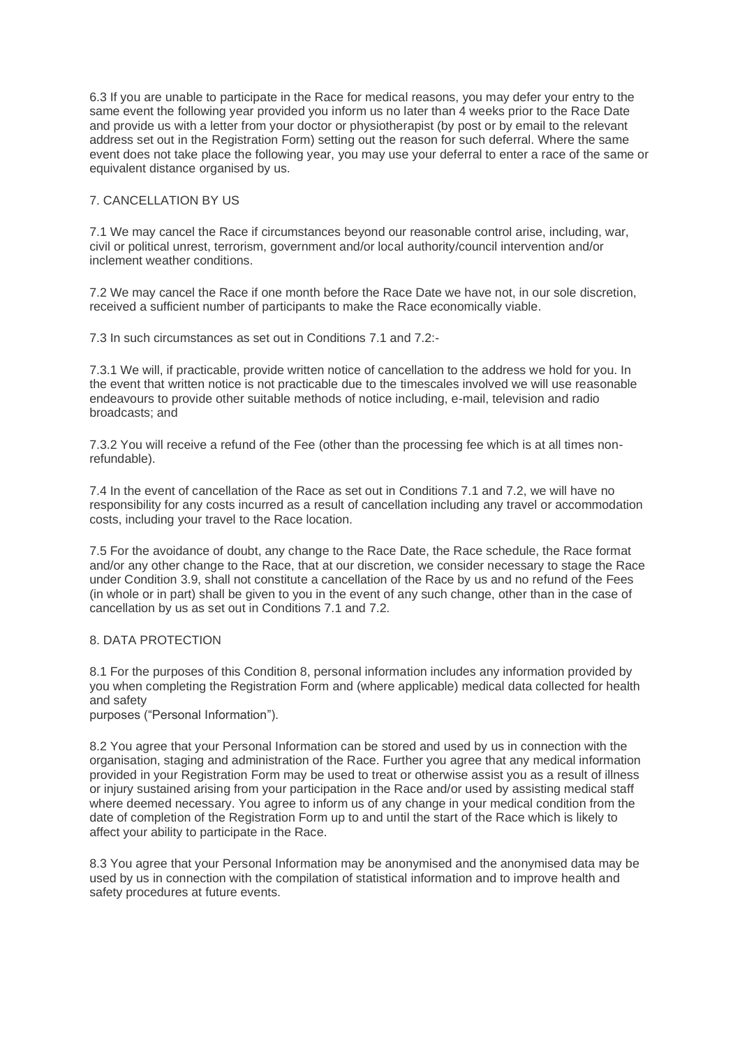6.3 If you are unable to participate in the Race for medical reasons, you may defer your entry to the same event the following year provided you inform us no later than 4 weeks prior to the Race Date and provide us with a letter from your doctor or physiotherapist (by post or by email to the relevant address set out in the Registration Form) setting out the reason for such deferral. Where the same event does not take place the following year, you may use your deferral to enter a race of the same or equivalent distance organised by us.

# 7. CANCELLATION BY US

7.1 We may cancel the Race if circumstances beyond our reasonable control arise, including, war, civil or political unrest, terrorism, government and/or local authority/council intervention and/or inclement weather conditions.

7.2 We may cancel the Race if one month before the Race Date we have not, in our sole discretion, received a sufficient number of participants to make the Race economically viable.

7.3 In such circumstances as set out in Conditions 7.1 and 7.2:-

7.3.1 We will, if practicable, provide written notice of cancellation to the address we hold for you. In the event that written notice is not practicable due to the timescales involved we will use reasonable endeavours to provide other suitable methods of notice including, e-mail, television and radio broadcasts; and

7.3.2 You will receive a refund of the Fee (other than the processing fee which is at all times nonrefundable).

7.4 In the event of cancellation of the Race as set out in Conditions 7.1 and 7.2, we will have no responsibility for any costs incurred as a result of cancellation including any travel or accommodation costs, including your travel to the Race location.

7.5 For the avoidance of doubt, any change to the Race Date, the Race schedule, the Race format and/or any other change to the Race, that at our discretion, we consider necessary to stage the Race under Condition 3.9, shall not constitute a cancellation of the Race by us and no refund of the Fees (in whole or in part) shall be given to you in the event of any such change, other than in the case of cancellation by us as set out in Conditions 7.1 and 7.2.

# 8. DATA PROTECTION

8.1 For the purposes of this Condition 8, personal information includes any information provided by you when completing the Registration Form and (where applicable) medical data collected for health and safety purposes ("Personal Information").

8.2 You agree that your Personal Information can be stored and used by us in connection with the organisation, staging and administration of the Race. Further you agree that any medical information provided in your Registration Form may be used to treat or otherwise assist you as a result of illness or injury sustained arising from your participation in the Race and/or used by assisting medical staff where deemed necessary. You agree to inform us of any change in your medical condition from the date of completion of the Registration Form up to and until the start of the Race which is likely to affect your ability to participate in the Race.

8.3 You agree that your Personal Information may be anonymised and the anonymised data may be used by us in connection with the compilation of statistical information and to improve health and safety procedures at future events.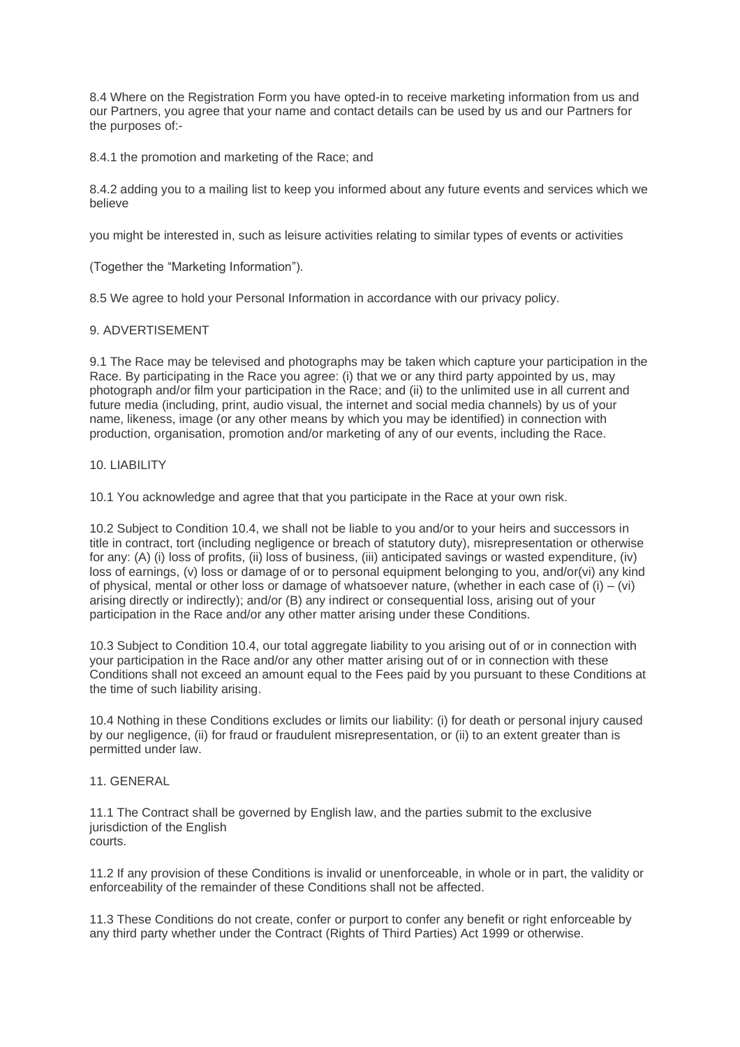8.4 Where on the Registration Form you have opted-in to receive marketing information from us and our Partners, you agree that your name and contact details can be used by us and our Partners for the purposes of:-

8.4.1 the promotion and marketing of the Race; and

8.4.2 adding you to a mailing list to keep you informed about any future events and services which we believe

you might be interested in, such as leisure activities relating to similar types of events or activities

(Together the "Marketing Information").

8.5 We agree to hold your Personal Information in accordance with our privacy policy.

### 9. ADVERTISEMENT

9.1 The Race may be televised and photographs may be taken which capture your participation in the Race. By participating in the Race you agree: (i) that we or any third party appointed by us, may photograph and/or film your participation in the Race; and (ii) to the unlimited use in all current and future media (including, print, audio visual, the internet and social media channels) by us of your name, likeness, image (or any other means by which you may be identified) in connection with production, organisation, promotion and/or marketing of any of our events, including the Race.

## 10. LIABILITY

10.1 You acknowledge and agree that that you participate in the Race at your own risk.

10.2 Subject to Condition 10.4, we shall not be liable to you and/or to your heirs and successors in title in contract, tort (including negligence or breach of statutory duty), misrepresentation or otherwise for any: (A) (i) loss of profits, (ii) loss of business, (iii) anticipated savings or wasted expenditure, (iv) loss of earnings, (v) loss or damage of or to personal equipment belonging to you, and/or(vi) any kind of physical, mental or other loss or damage of whatsoever nature, (whether in each case of  $(i) - (vi)$ ) arising directly or indirectly); and/or (B) any indirect or consequential loss, arising out of your participation in the Race and/or any other matter arising under these Conditions.

10.3 Subject to Condition 10.4, our total aggregate liability to you arising out of or in connection with your participation in the Race and/or any other matter arising out of or in connection with these Conditions shall not exceed an amount equal to the Fees paid by you pursuant to these Conditions at the time of such liability arising.

10.4 Nothing in these Conditions excludes or limits our liability: (i) for death or personal injury caused by our negligence, (ii) for fraud or fraudulent misrepresentation, or (ii) to an extent greater than is permitted under law.

#### 11. GENERAL

11.1 The Contract shall be governed by English law, and the parties submit to the exclusive jurisdiction of the English courts.

11.2 If any provision of these Conditions is invalid or unenforceable, in whole or in part, the validity or enforceability of the remainder of these Conditions shall not be affected.

11.3 These Conditions do not create, confer or purport to confer any benefit or right enforceable by any third party whether under the Contract (Rights of Third Parties) Act 1999 or otherwise.